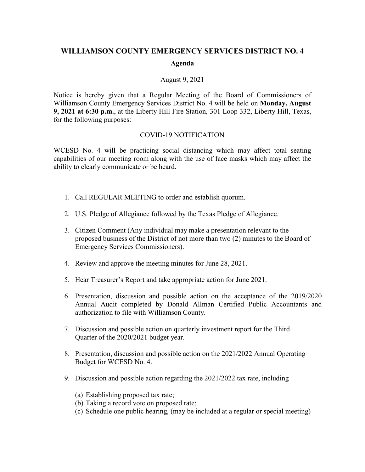## **WILLIAMSON COUNTY EMERGENCY SERVICES DISTRICT NO. 4 Agenda**

## August 9, 2021

Notice is hereby given that a Regular Meeting of the Board of Commissioners of Williamson County Emergency Services District No. 4 will be held on **Monday, August 9, 2021 at 6:30 p.m.**, at the Liberty Hill Fire Station, 301 Loop 332, Liberty Hill, Texas, for the following purposes:

## COVID-19 NOTIFICATION

WCESD No. 4 will be practicing social distancing which may affect total seating capabilities of our meeting room along with the use of face masks which may affect the ability to clearly communicate or be heard.

- 1. Call REGULAR MEETING to order and establish quorum.
- 2. U.S. Pledge of Allegiance followed by the Texas Pledge of Allegiance.
- 3. Citizen Comment (Any individual may make a presentation relevant to the proposed business of the District of not more than two (2) minutes to the Board of Emergency Services Commissioners).
- 4. Review and approve the meeting minutes for June 28, 2021.
- 5. Hear Treasurer's Report and take appropriate action for June 2021.
- 6. Presentation, discussion and possible action on the acceptance of the 2019/2020 Annual Audit completed by Donald Allman Certified Public Accountants and authorization to file with Williamson County.
- 7. Discussion and possible action on quarterly investment report for the Third Quarter of the 2020/2021 budget year.
- 8. Presentation, discussion and possible action on the 2021/2022 Annual Operating Budget for WCESD No. 4.
- 9. Discussion and possible action regarding the 2021/2022 tax rate, including
	- (a) Establishing proposed tax rate;
	- (b) Taking a record vote on proposed rate;
	- (c) Schedule one public hearing, (may be included at a regular or special meeting)